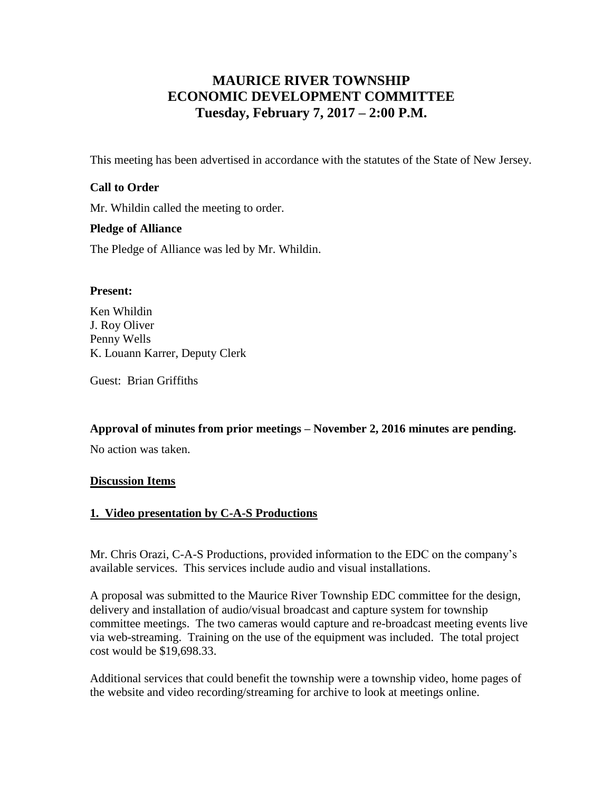# **MAURICE RIVER TOWNSHIP ECONOMIC DEVELOPMENT COMMITTEE Tuesday, February 7, 2017 – 2:00 P.M.**

This meeting has been advertised in accordance with the statutes of the State of New Jersey.

# **Call to Order**

Mr. Whildin called the meeting to order.

#### **Pledge of Alliance**

The Pledge of Alliance was led by Mr. Whildin.

## **Present:**

Ken Whildin J. Roy Oliver Penny Wells K. Louann Karrer, Deputy Clerk

Guest: Brian Griffiths

**Approval of minutes from prior meetings – November 2, 2016 minutes are pending.**

No action was taken.

#### **Discussion Items**

#### **1. Video presentation by C-A-S Productions**

Mr. Chris Orazi, C-A-S Productions, provided information to the EDC on the company's available services. This services include audio and visual installations.

A proposal was submitted to the Maurice River Township EDC committee for the design, delivery and installation of audio/visual broadcast and capture system for township committee meetings. The two cameras would capture and re-broadcast meeting events live via web-streaming. Training on the use of the equipment was included. The total project cost would be \$19,698.33.

Additional services that could benefit the township were a township video, home pages of the website and video recording/streaming for archive to look at meetings online.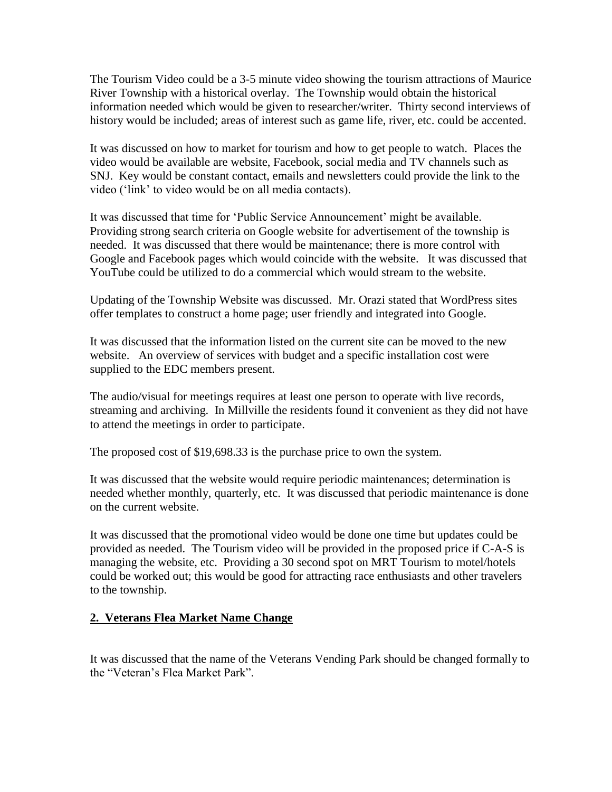The Tourism Video could be a 3-5 minute video showing the tourism attractions of Maurice River Township with a historical overlay. The Township would obtain the historical information needed which would be given to researcher/writer. Thirty second interviews of history would be included; areas of interest such as game life, river, etc. could be accented.

It was discussed on how to market for tourism and how to get people to watch. Places the video would be available are website, Facebook, social media and TV channels such as SNJ. Key would be constant contact, emails and newsletters could provide the link to the video ('link' to video would be on all media contacts).

It was discussed that time for 'Public Service Announcement' might be available. Providing strong search criteria on Google website for advertisement of the township is needed. It was discussed that there would be maintenance; there is more control with Google and Facebook pages which would coincide with the website. It was discussed that YouTube could be utilized to do a commercial which would stream to the website.

Updating of the Township Website was discussed. Mr. Orazi stated that WordPress sites offer templates to construct a home page; user friendly and integrated into Google.

It was discussed that the information listed on the current site can be moved to the new website. An overview of services with budget and a specific installation cost were supplied to the EDC members present.

The audio/visual for meetings requires at least one person to operate with live records, streaming and archiving. In Millville the residents found it convenient as they did not have to attend the meetings in order to participate.

The proposed cost of \$19,698.33 is the purchase price to own the system.

It was discussed that the website would require periodic maintenances; determination is needed whether monthly, quarterly, etc. It was discussed that periodic maintenance is done on the current website.

It was discussed that the promotional video would be done one time but updates could be provided as needed. The Tourism video will be provided in the proposed price if C-A-S is managing the website, etc. Providing a 30 second spot on MRT Tourism to motel/hotels could be worked out; this would be good for attracting race enthusiasts and other travelers to the township.

# **2. Veterans Flea Market Name Change**

It was discussed that the name of the Veterans Vending Park should be changed formally to the "Veteran's Flea Market Park".